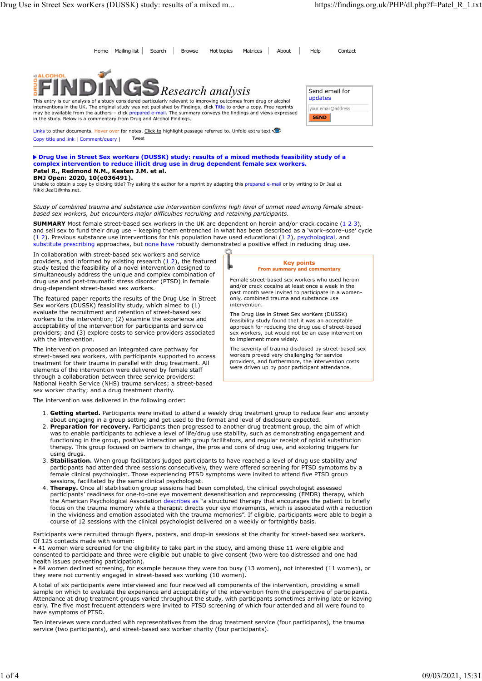| Home   Mailing list<br>Search<br><b>Browse</b><br>Hot topics                                                                                                                                                                                                                                                                                                                                                                                                                                                                                                                                                                                                    | Help<br>Contact<br>Matrices<br>About                                                                |  |
|-----------------------------------------------------------------------------------------------------------------------------------------------------------------------------------------------------------------------------------------------------------------------------------------------------------------------------------------------------------------------------------------------------------------------------------------------------------------------------------------------------------------------------------------------------------------------------------------------------------------------------------------------------------------|-----------------------------------------------------------------------------------------------------|--|
| <b>&amp;ALCOHOL</b><br><b>FINDINGS</b> Research analysis<br>This entry is our analysis of a study considered particularly relevant to improving outcomes from drug or alcohol<br>interventions in the UK. The original study was not published by Findings; click Title to order a copy. Free reprints<br>may be available from the authors - click prepared e-mail. The summary conveys the findings and views expressed<br>in the study. Below is a commentary from Drug and Alcohol Findings.<br>Links to other documents. Hover over for notes. Click to highlight passage referred to. Unfold extra text<br>Copy title and link   Comment/query  <br>Tweet | Send email for<br>updates<br>your.email@address<br><b>SEND</b>                                      |  |
| ▶ Drug Use in Street Sex worKers (DUSSK) study: results of a mixed methods feasibility study of a<br>complex intervention to reduce illicit drug use in drug dependent female sex workers.<br>Patel R., Redmond N.M., Kesten J.M. et al.<br>BMJ Open: 2020, 10(e036491).<br>Unable to obtain a copy by clicking title? Try asking the author for a reprint by adapting this prepared e-mail or by writing to Dr Jeal at<br>Nikki.Jeal1@nhs.net.                                                                                                                                                                                                                 |                                                                                                     |  |
| Study of combined trauma and substance use intervention confirms high level of unmet need among female street-<br>based sex workers, but encounters major difficulties recruiting and retaining participants.                                                                                                                                                                                                                                                                                                                                                                                                                                                   |                                                                                                     |  |
| <b>SUMMARY</b> Most female street-based sex workers in the UK are dependent on heroin and/or crack cocaine (1 2 3),<br>and sell sex to fund their drug use - keeping them entrenched in what has been described as a 'work-score-use' cycle<br>$(1 2)$ . Previous substance use interventions for this population have used educational $(1 2)$ , psychological, and<br>substitute prescribing approaches, but none have robustly demonstrated a positive effect in reducing drug use.                                                                                                                                                                          |                                                                                                     |  |
| In collaboration with street-based sex workers and service<br>providers, and informed by existing research $(1\ 2)$ , the featured<br>study tested the feasibility of a novel intervention designed to<br>simultaneously address the unique and complex combination of                                                                                                                                                                                                                                                                                                                                                                                          | <b>Key points</b><br>From summary and commentary<br>Female street-based sex workers who used heroin |  |

### Drug Use in Street Sex worKers (DUSSK) study: results of a mixed methods feasibility study of a complex intervention to reduce illicit drug use in drug dependent female sex workers. Patel R., Redmond N.M., Kesten J.M. et al. BMJ Open: 2020, 10(e036491).

The featured paper reports the results of the Drug Use in Street Sex worKers (DUSSK) feasibility study, which aimed to (1) evaluate the recruitment and retention of street-based sex workers to the intervention; (2) examine the experience and acceptability of the intervention for participants and service providers; and (3) explore costs to service providers associated with the intervention.

The intervention proposed an integrated care pathway for street-based sex workers, with participants supported to access treatment for their trauma in parallel with drug treatment. All elements of the intervention were delivered by female staff through a collaboration between three service providers: National Health Service (NHS) trauma services; a street-based sex worker charity; and a drug treatment charity.

# Key points From summary and commentary

The Drug Use in Street Sex worKers (DUSSK) feasibility study found that it was an acceptable approach for reducing the drug use of street-based sex workers, but would not be an easy intervention to implement more widely.

The severity of trauma disclosed by street-based sex workers proved very challenging for service providers, and furthermore, the intervention costs were driven up by poor participant attendance.

The intervention was delivered in the following order:

- 1. Getting started. Participants were invited to attend a weekly drug treatment group to reduce fear and anxiety about engaging in a group setting and get used to the format and level of disclosure expected.
- 2. Preparation for recovery. Participants then progressed to another drug treatment group, the aim of which was to enable participants to achieve a level of life/drug use stability, such as demonstrating engagement and functioning in the group, positive interaction with group facilitators, and regular receipt of opioid substitution therapy. This group focused on barriers to change, the pros and cons of drug use, and exploring triggers for using drugs.
- 3. Stabilisation. When group facilitators judged participants to have reached a level of drug use stability and participants had attended three sessions consecutively, they were offered screening for PTSD symptoms by a female clinical psychologist. Those experiencing PTSD symptoms were invited to attend five PTSD group sessions, facilitated by the same clinical psychologist.
- 4. Therapy. Once all stabilisation group sessions had been completed, the clinical psychologist assessed participants' readiness for one-to-one eye movement desensitisation and reprocessing (EMDR) therapy, which the American Psychological Association describes as "a structured therapy that encourages the patient to briefly focus on the trauma memory while a therapist directs your eye movements, which is associated with a reduction in the vividness and emotion associated with the trauma memories". If eligible, participants were able to begin a course of 12 sessions with the clinical psychologist delivered on a weekly or fortnightly basis.

Participants were recruited through flyers, posters, and drop-in sessions at the charity for street-based sex workers. Of 125 contacts made with women:

• 41 women were screened for the eligibility to take part in the study, and among these 11 were eligible and consented to participate and three were eligible but unable to give consent (two were too distressed and one had health issues preventing participation).

• 84 women declined screening, for example because they were too busy (13 women), not interested (11 women), or they were not currently engaged in street-based sex working (10 women).

A total of six participants were interviewed and four received all components of the intervention, providing a small sample on which to evaluate the experience and acceptability of the intervention from the perspective of participants. Attendance at drug treatment groups varied throughout the study, with participants sometimes arriving late or leaving early. The five most frequent attenders were invited to PTSD screening of which four attended and all were found to have symptoms of PTSD.

Ten interviews were conducted with representatives from the drug treatment service (four participants), the trauma service (two participants), and street-based sex worker charity (four participants).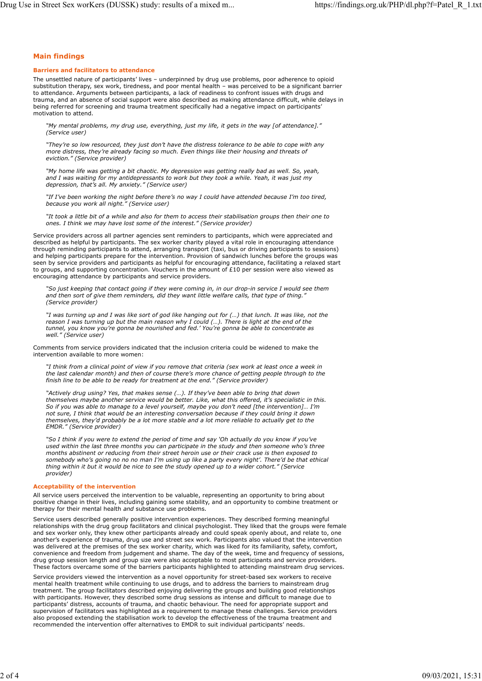# Main findings

# Barriers and facilitators to attendance

The unsettled nature of participants' lives – underpinned by drug use problems, poor adherence to opioid substitution therapy, sex work, tiredness, and poor mental health – was perceived to be a significant barrier to attendance. Arguments between participants, a lack of readiness to confront issues with drugs and trauma, and an absence of social support were also described as making attendance difficult, while delays in being referred for screening and trauma treatment specifically had a negative impact on participants' motivation to attend.

"My mental problems, my drug use, everything, just my life, it gets in the way [of attendance]." (Service user)

"They're so low resourced, they just don't have the distress tolerance to be able to cope with any more distress, they're already facing so much. Even things like their housing and threats of eviction." (Service provider)

"My home life was getting a bit chaotic. My depression was getting really bad as well. So, yeah, and I was waiting for my antidepressants to work but they took a while. Yeah, it was just my depression, that's all. My anxiety." (Service user)

"If I've been working the night before there's no way I could have attended because I'm too tired, because you work all night." (Service user)

"It took a little bit of a while and also for them to access their stabilisation groups then their one to ones. I think we may have lost some of the interest." (Service provider)

Service providers across all partner agencies sent reminders to participants, which were appreciated and described as helpful by participants. The sex worker charity played a vital role in encouraging attendance through reminding participants to attend, arranging transport (taxi, bus or driving participants to sessions) and helping participants prepare for the intervention. Provision of sandwich lunches before the groups was seen by service providers and participants as helpful for encouraging attendance, facilitating a relaxed start to groups, and supporting concentration. Vouchers in the amount of £10 per session were also viewed as encouraging attendance by participants and service providers.

"So just keeping that contact going if they were coming in, in our drop-in service I would see them and then sort of give them reminders, did they want little welfare calls, that type of thing." (Service provider)

"I was turning up and I was like sort of god like hanging out for (…) that lunch. It was like, not the reason I was turning up but the main reason why I could (…). There is light at the end of the tunnel, you know you're gonna be nourished and fed.' You're gonna be able to concentrate as well." (Service user)

Comments from service providers indicated that the inclusion criteria could be widened to make the intervention available to more women:

"I think from a clinical point of view if you remove that criteria (sex work at least once a week in the last calendar month) and then of course there's more chance of getting people through to the finish line to be able to be ready for treatment at the end." (Service provider)

"Actively drug using? Yes, that makes sense (…). If they've been able to bring that down themselves maybe another service would be better. Like, what this offered, it's specialistic in this. So if you was able to manage to a level yourself, maybe you don't need [the intervention]… I'm not sure, I think that would be an interesting conversation because if they could bring it down themselves, they'd probably be a lot more stable and a lot more reliable to actually get to the EMDR." (Service provider)

"So I think if you were to extend the period of time and say 'Oh actually do you know if you've used within the last three months you can participate in the study and then someone who's three months abstinent or reducing from their street heroin use or their crack use is then exposed to somebody who's going no no no man I'm using up like a party every night'. There'd be that ethical thing within it but it would be nice to see the study opened up to a wider cohort." (Service provider)

### Acceptability of the intervention

All service users perceived the intervention to be valuable, representing an opportunity to bring about positive change in their lives, including gaining some stability, and an opportunity to combine treatment or therapy for their mental health and substance use problems.

Service users described generally positive intervention experiences. They described forming meaningful relationships with the drug group facilitators and clinical psychologist. They liked that the groups were female and sex worker only, they knew other participants already and could speak openly about, and relate to, one another's experience of trauma, drug use and street sex work. Participants also valued that the intervention was delivered at the premises of the sex worker charity, which was liked for its familiarity, safety, comfort, convenience and freedom from judgement and shame. The day of the week, time and frequency of sessions, drug group session length and group size were also acceptable to most participants and service providers. These factors overcame some of the barriers participants highlighted to attending mainstream drug services.

Service providers viewed the intervention as a novel opportunity for street-based sex workers to receive mental health treatment while continuing to use drugs, and to address the barriers to mainstream drug treatment. The group facilitators described enjoying delivering the groups and building good relationships with participants. However, they described some drug sessions as intense and difficult to manage due to participants' distress, accounts of trauma, and chaotic behaviour. The need for appropriate support and supervision of facilitators was highlighted as a requirement to manage these challenges. Service providers also proposed extending the stabilisation work to develop the effectiveness of the trauma treatment and recommended the intervention offer alternatives to EMDR to suit individual participants' needs.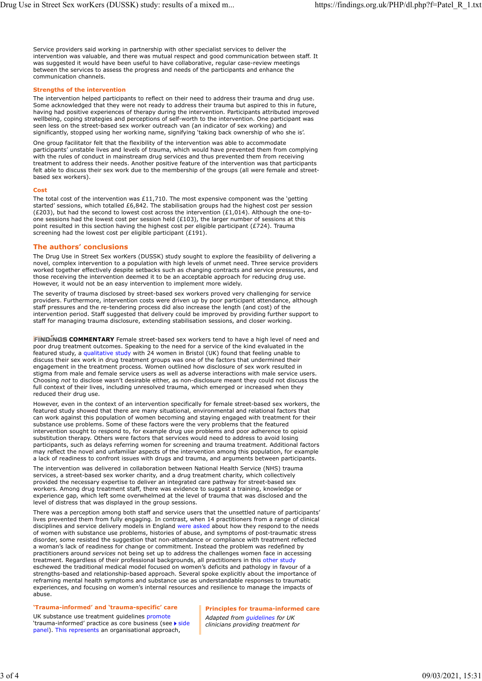Service providers said working in partnership with other specialist services to deliver the intervention was valuable, and there was mutual respect and good communication between staff. It was suggested it would have been useful to have collaborative, regular case-review meetings between the services to assess the progress and needs of the participants and enhance the communication channels.

# Strengths of the intervention

The intervention helped participants to reflect on their need to address their trauma and drug use. Some acknowledged that they were not ready to address their trauma but aspired to this in future, having had positive experiences of therapy during the intervention. Participants attributed improved wellbeing, coping strategies and perceptions of self-worth to the intervention. One participant was seen less on the street-based sex worker outreach van (an indicator of sex working) and significantly, stopped using her working name, signifying 'taking back ownership of who she is'.

One group facilitator felt that the flexibility of the intervention was able to accommodate participants' unstable lives and levels of trauma, which would have prevented them from complying with the rules of conduct in mainstream drug services and thus prevented them from receiving treatment to address their needs. Another positive feature of the intervention was that participants felt able to discuss their sex work due to the membership of the groups (all were female and streetbased sex workers).

### **Cost Cost Cost Cost**

The total cost of the intervention was £11,710. The most expensive component was the 'getting started' sessions, which totalled £6,842. The stabilisation groups had the highest cost per session (£203), but had the second to lowest cost across the intervention ( $£1,014$ ). Although the one-toone sessions had the lowest cost per session held (£103), the larger number of sessions at this point resulted in this section having the highest cost per eligible participant (£724). Trauma screening had the lowest cost per eligible participant (£191).

# The authors' conclusions

The Drug Use in Street Sex worKers (DUSSK) study sought to explore the feasibility of delivering a novel, complex intervention to a population with high levels of unmet need. Three service providers worked together effectively despite setbacks such as changing contracts and service pressures, and those receiving the intervention deemed it to be an acceptable approach for reducing drug use. However, it would not be an easy intervention to implement more widely.

The severity of trauma disclosed by street-based sex workers proved very challenging for service providers. Furthermore, intervention costs were driven up by poor participant attendance, although staff pressures and the re-tendering process did also increase the length (and cost) of the intervention period. Staff suggested that delivery could be improved by providing further support to staff for managing trauma disclosure, extending stabilisation sessions, and closer working.

FINDINGS COMMENTARY Female street-based sex workers tend to have a high level of need and poor drug treatment outcomes. Speaking to the need for a service of the kind evaluated in the featured study, a qualitative study with 24 women in Bristol (UK) found that feeling unable to discuss their sex work in drug treatment groups was one of the factors that undermined their engagement in the treatment process. Women outlined how disclosure of sex work resulted in stigma from male and female service users as well as adverse interactions with male service users. Choosing not to disclose wasn't desirable either, as non-disclosure meant they could not discuss the full context of their lives, including unresolved trauma, which emerged or increased when they reduced their drug use.

However, even in the context of an intervention specifically for female street-based sex workers, the featured study showed that there are many situational, environmental and relational factors that can work against this population of women becoming and staying engaged with treatment for their substance use problems. Some of these factors were the very problems that the featured intervention sought to respond to, for example drug use problems and poor adherence to opioid substitution therapy. Others were factors that services would need to address to avoid losing participants, such as delays referring women for screening and trauma treatment. Additional factors may reflect the novel and unfamiliar aspects of the intervention among this population, for example a lack of readiness to confront issues with drugs and trauma, and arguments between participants.

The intervention was delivered in collaboration between National Health Service (NHS) trauma services, a street-based sex worker charity, and a drug treatment charity, which collectively provided the necessary expertise to deliver an integrated care pathway for street-based sex workers. Among drug treatment staff, there was evidence to suggest a training, knowledge or experience gap, which left some overwhelmed at the level of trauma that was disclosed and the level of distress that was displayed in the group sessions.

There was a perception among both staff and service users that the unsettled nature of participants' lives prevented them from fully engaging. In contrast, when 14 practitioners from a range of clinical disciplines and service delivery models in England were asked about how they respond to the needs of women with substance use problems, histories of abuse, and symptoms of post-traumatic stress disorder, some resisted the suggestion that non-attendance or compliance with treatment reflected a woman's lack of readiness for change or commitment. Instead the problem was redefined by practitioners around services not being set up to address the challenges women face in accessing treatment. Regardless of their professional backgrounds, all practitioners in this other study eschewed the traditional medical model focused on women's deficits and pathology in favour of a strengths-based and relationship-based approach. Several spoke explicitly about the importance of reframing mental health symptoms and substance use as understandable responses to traumatic experiences, and focusing on women's internal resources and resilience to manage the impacts of abuse.

# 'Trauma-informed' and 'trauma-specific' care

UK substance use treatment guidelines promote 'trauma-informed' practice as core business (see > side panel). This represents an organisational approach,

Principles for trauma-informed care

Adapted from guidelines for UK clinicians providing treatment for